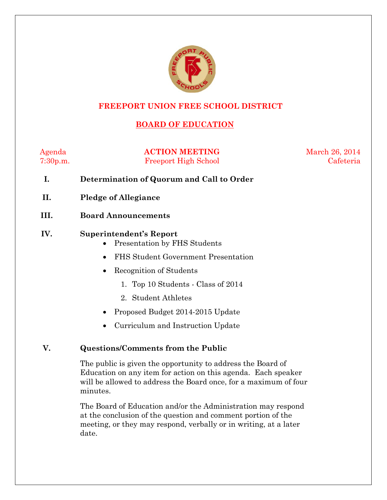

## **FREEPORT UNION FREE SCHOOL DISTRICT**

# **BOARD OF EDUCATION**

Agenda **ACTION MEETING** March 26, 2014 7:30p.m. Freeport High School Cafeteria

- **I. Determination of Quorum and Call to Order**
- **II. Pledge of Allegiance**
- **III. Board Announcements**

#### **IV. Superintendent's Report**

- Presentation by FHS Students
- FHS Student Government Presentation
- Recognition of Students
	- 1. Top 10 Students Class of 2014
	- 2. Student Athletes
- Proposed Budget 2014-2015 Update
- Curriculum and Instruction Update

#### **V. Questions/Comments from the Public**

The public is given the opportunity to address the Board of Education on any item for action on this agenda. Each speaker will be allowed to address the Board once, for a maximum of four minutes.

The Board of Education and/or the Administration may respond at the conclusion of the question and comment portion of the meeting, or they may respond, verbally or in writing, at a later date.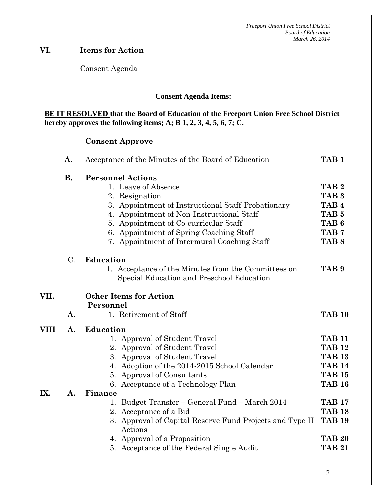# **VI. Items for Action**

Consent Agenda

#### **A**  $\overline{\mathbf{C}}$ **Consent Agenda Items:**

**<u>BE IT RESOLVED t</u>hat the Board of Education of the Freeport Union Free School District hereby approves the following items; A; B 1, 2, 3, 4, 5, 6, 7; C.**

#### **Consent Approve**

|             | A.              | Acceptance of the Minutes of the Board of Education                                              | TAB <sub>1</sub> |  |  |  |  |  |  |
|-------------|-----------------|--------------------------------------------------------------------------------------------------|------------------|--|--|--|--|--|--|
|             | <b>B.</b>       | <b>Personnel Actions</b>                                                                         |                  |  |  |  |  |  |  |
|             |                 | 1. Leave of Absence                                                                              | TAB <sub>2</sub> |  |  |  |  |  |  |
|             |                 | 2. Resignation                                                                                   | TAB <sub>3</sub> |  |  |  |  |  |  |
|             |                 | 3. Appointment of Instructional Staff-Probationary                                               | TAB <sub>4</sub> |  |  |  |  |  |  |
|             |                 | 4. Appointment of Non-Instructional Staff                                                        | TAB <sub>5</sub> |  |  |  |  |  |  |
|             |                 | 5. Appointment of Co-curricular Staff                                                            | TAB <sub>6</sub> |  |  |  |  |  |  |
|             |                 | 6. Appointment of Spring Coaching Staff                                                          | TAB <sub>7</sub> |  |  |  |  |  |  |
|             |                 | 7. Appointment of Intermural Coaching Staff                                                      | TAB <sub>8</sub> |  |  |  |  |  |  |
|             | $\mathcal{C}$ . | <b>Education</b>                                                                                 |                  |  |  |  |  |  |  |
|             |                 | 1. Acceptance of the Minutes from the Committees on<br>Special Education and Preschool Education | TAB <sub>9</sub> |  |  |  |  |  |  |
| VII.        |                 | <b>Other Items for Action</b>                                                                    |                  |  |  |  |  |  |  |
|             |                 | Personnel                                                                                        |                  |  |  |  |  |  |  |
|             | A.              | 1. Retirement of Staff                                                                           | <b>TAB 10</b>    |  |  |  |  |  |  |
| <b>VIII</b> | A.              | <b>Education</b>                                                                                 |                  |  |  |  |  |  |  |
|             |                 | 1. Approval of Student Travel                                                                    | <b>TAB 11</b>    |  |  |  |  |  |  |
|             |                 | 2. Approval of Student Travel                                                                    | <b>TAB 12</b>    |  |  |  |  |  |  |
|             |                 | 3. Approval of Student Travel                                                                    | <b>TAB 13</b>    |  |  |  |  |  |  |
|             |                 | 4. Adoption of the 2014-2015 School Calendar                                                     | <b>TAB 14</b>    |  |  |  |  |  |  |
|             |                 | 5. Approval of Consultants                                                                       | <b>TAB 15</b>    |  |  |  |  |  |  |
|             |                 | 6. Acceptance of a Technology Plan                                                               | <b>TAB 16</b>    |  |  |  |  |  |  |
| IX.         | A.              | Finance                                                                                          |                  |  |  |  |  |  |  |
|             |                 | Budget Transfer – General Fund – March 2014<br>1.                                                | <b>TAB 17</b>    |  |  |  |  |  |  |
|             |                 | 2. Acceptance of a Bid                                                                           | <b>TAB 18</b>    |  |  |  |  |  |  |
|             |                 | 3. Approval of Capital Reserve Fund Projects and Type II<br>Actions                              | <b>TAB 19</b>    |  |  |  |  |  |  |
|             |                 | 4. Approval of a Proposition                                                                     | <b>TAB 20</b>    |  |  |  |  |  |  |
|             |                 | 5. Acceptance of the Federal Single Audit                                                        | <b>TAB 21</b>    |  |  |  |  |  |  |
|             |                 |                                                                                                  |                  |  |  |  |  |  |  |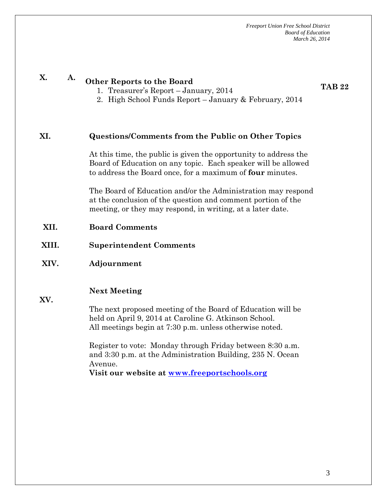| X.<br>A. | <b>Other Reports to the Board</b><br>1. Treasurer's Report - January, 2014<br>2. High School Funds Report - January & February, 2014                                                                                                                                                                                                                                                         | <b>TAB 22</b> |
|----------|----------------------------------------------------------------------------------------------------------------------------------------------------------------------------------------------------------------------------------------------------------------------------------------------------------------------------------------------------------------------------------------------|---------------|
| XI.      | <b>Questions/Comments from the Public on Other Topics</b>                                                                                                                                                                                                                                                                                                                                    |               |
|          | At this time, the public is given the opportunity to address the<br>Board of Education on any topic. Each speaker will be allowed<br>to address the Board once, for a maximum of four minutes.                                                                                                                                                                                               |               |
|          | The Board of Education and/or the Administration may respond<br>at the conclusion of the question and comment portion of the<br>meeting, or they may respond, in writing, at a later date.                                                                                                                                                                                                   |               |
| XII.     | <b>Board Comments</b>                                                                                                                                                                                                                                                                                                                                                                        |               |
| XIII.    | <b>Superintendent Comments</b>                                                                                                                                                                                                                                                                                                                                                               |               |
| XIV.     | Adjournment                                                                                                                                                                                                                                                                                                                                                                                  |               |
| XV.      | <b>Next Meeting</b><br>The next proposed meeting of the Board of Education will be<br>held on April 9, 2014 at Caroline G. Atkinson School.<br>All meetings begin at 7:30 p.m. unless otherwise noted.<br>Register to vote: Monday through Friday between 8:30 a.m.<br>and 3:30 p.m. at the Administration Building, 235 N. Ocean<br>Avenue.<br>Visit our website at www.freeportschools.org |               |
|          |                                                                                                                                                                                                                                                                                                                                                                                              |               |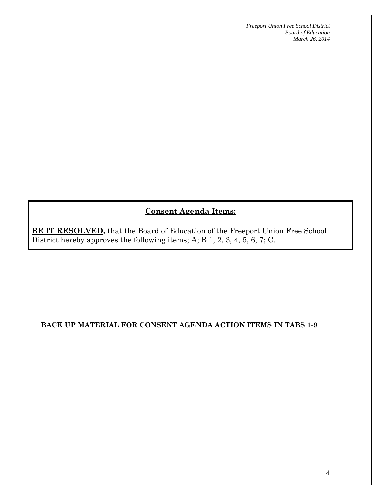# **Consent Agenda Items:**

**BE IT RESOLVED**, that the Board of Education of the Freeport Union Free School District hereby approves the following items; A; B 1, 2, 3, 4, 5, 6, 7; C.

#### **BACK UP MATERIAL FOR CONSENT AGENDA ACTION ITEMS IN TABS 1-9**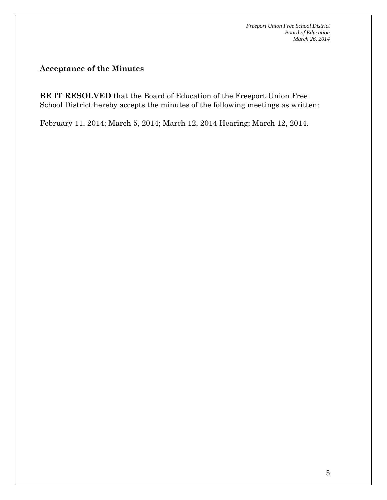**Acceptance of the Minutes**

**BE IT RESOLVED** that the Board of Education of the Freeport Union Free School District hereby accepts the minutes of the following meetings as written:

February 11, 2014; March 5, 2014; March 12, 2014 Hearing; March 12, 2014.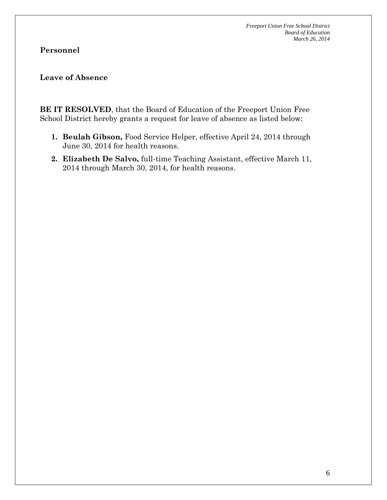# **Personnel**

#### **Leave of Absence**

**BE IT RESOLVED**, that the Board of Education of the Freeport Union Free School District hereby grants a request for leave of absence as listed below:

- **1. Beulah Gibson,** Food Service Helper, effective April 24, 2014 through June 30, 2014 for health reasons.
- **2. Elizabeth De Salvo,** full-time Teaching Assistant, effective March 11, 2014 through March 30, 2014, for health reasons.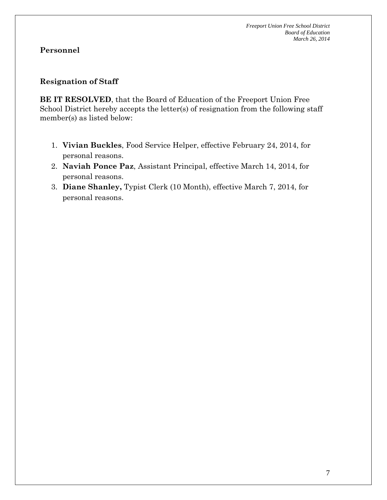#### **Resignation of Staff**

**BE IT RESOLVED**, that the Board of Education of the Freeport Union Free School District hereby accepts the letter(s) of resignation from the following staff member(s) as listed below:

- 1. **Vivian Buckles**, Food Service Helper, effective February 24, 2014, for personal reasons.
- 2. **Naviah Ponce Paz**, Assistant Principal, effective March 14, 2014, for personal reasons.
- 3. **Diane Shanley,** Typist Clerk (10 Month), effective March 7, 2014, for personal reasons.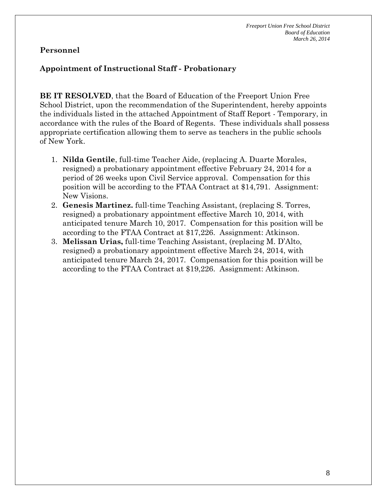# **Appointment of Instructional Staff - Probationary**

**BE IT RESOLVED**, that the Board of Education of the Freeport Union Free School District, upon the recommendation of the Superintendent, hereby appoints the individuals listed in the attached Appointment of Staff Report - Temporary, in accordance with the rules of the Board of Regents. These individuals shall possess appropriate certification allowing them to serve as teachers in the public schools of New York.

- 1. **Nilda Gentile**, full-time Teacher Aide, (replacing A. Duarte Morales, resigned) a probationary appointment effective February 24, 2014 for a period of 26 weeks upon Civil Service approval. Compensation for this position will be according to the FTAA Contract at \$14,791. Assignment: New Visions.
- 2. **Genesis Martinez.** full-time Teaching Assistant, (replacing S. Torres, resigned) a probationary appointment effective March 10, 2014, with anticipated tenure March 10, 2017. Compensation for this position will be according to the FTAA Contract at \$17,226. Assignment: Atkinson.
- 3. **Melissan Urias,** full-time Teaching Assistant, (replacing M. D'Alto, resigned) a probationary appointment effective March 24, 2014, with anticipated tenure March 24, 2017. Compensation for this position will be according to the FTAA Contract at \$19,226. Assignment: Atkinson.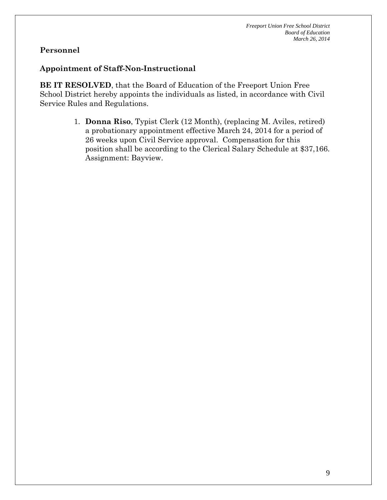#### **Appointment of Staff-Non-Instructional**

**BE IT RESOLVED**, that the Board of Education of the Freeport Union Free School District hereby appoints the individuals as listed, in accordance with Civil Service Rules and Regulations.

> 1. **Donna Riso**, Typist Clerk (12 Month), (replacing M. Aviles, retired) a probationary appointment effective March 24, 2014 for a period of 26 weeks upon Civil Service approval. Compensation for this position shall be according to the Clerical Salary Schedule at \$37,166. Assignment: Bayview.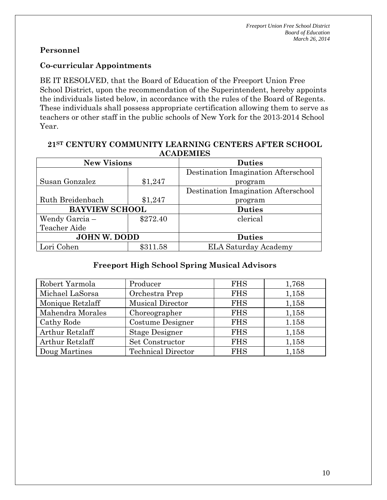#### **Co-curricular Appointments**

BE IT RESOLVED, that the Board of Education of the Freeport Union Free School District, upon the recommendation of the Superintendent, hereby appoints the individuals listed below, in accordance with the rules of the Board of Regents. These individuals shall possess appropriate certification allowing them to serve as teachers or other staff in the public schools of New York for the 2013-2014 School Year.

#### **21ST CENTURY COMMUNITY LEARNING CENTERS AFTER SCHOOL ACADEMIES**

| <b>New Visions</b>    |          | <b>Duties</b>                       |  |  |
|-----------------------|----------|-------------------------------------|--|--|
|                       |          | Destination Imagination Afterschool |  |  |
| Susan Gonzalez        | \$1,247  | program                             |  |  |
|                       |          | Destination Imagination Afterschool |  |  |
| Ruth Breidenbach      | \$1,247  | program                             |  |  |
| <b>BAYVIEW SCHOOL</b> |          | <b>Duties</b>                       |  |  |
| Wendy Garcia -        | \$272.40 | clerical                            |  |  |
| Teacher Aide          |          |                                     |  |  |
| JOHN W. DODD          |          | <b>Duties</b>                       |  |  |
| Lori Cohen            | \$311.58 | <b>ELA Saturday Academy</b>         |  |  |

#### **Freeport High School Spring Musical Advisors**

| Robert Yarmola   | Producer                  | <b>FHS</b> | 1,768 |
|------------------|---------------------------|------------|-------|
| Michael LaSorsa  | Orchestra Prep            | <b>FHS</b> | 1,158 |
| Monique Retzlaff | <b>Musical Director</b>   | <b>FHS</b> | 1,158 |
| Mahendra Morales | Choreographer             | <b>FHS</b> | 1,158 |
| Cathy Rode       | Costume Designer          | <b>FHS</b> | 1.158 |
| Arthur Retzlaff  | <b>Stage Designer</b>     | <b>FHS</b> | 1,158 |
| Arthur Retzlaff  | Set Constructor           | <b>FHS</b> | 1,158 |
| Doug Martines    | <b>Technical Director</b> | <b>FHS</b> | 1,158 |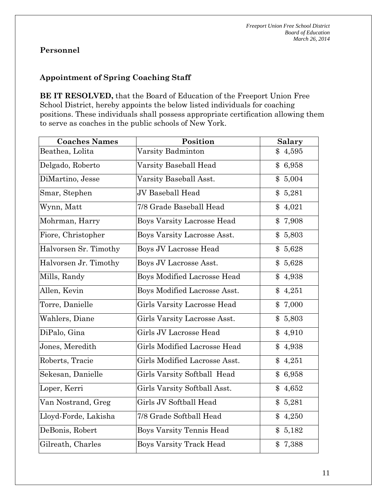# **Appointment of Spring Coaching Staff**

**BE IT RESOLVED,** that the Board of Education of the Freeport Union Free School District, hereby appoints the below listed individuals for coaching positions. These individuals shall possess appropriate certification allowing them to serve as coaches in the public schools of New York.

| <b>Coaches Names</b>  | Position                           | <b>Salary</b>         |
|-----------------------|------------------------------------|-----------------------|
| Beathea, Lolita       | Varsity Badminton                  | \$4,595               |
| Delgado, Roberto      | Varsity Baseball Head              | 6,958<br>\$           |
| DiMartino, Jesse      | Varsity Baseball Asst.             | $\mathbb{S}$<br>5,004 |
| Smar, Stephen         | JV Baseball Head                   | \$5,281               |
| Wynn, Matt            | 7/8 Grade Baseball Head            | $\$\$<br>4,021        |
| Mohrman, Harry        | <b>Boys Varsity Lacrosse Head</b>  | 7,908                 |
| Fiore, Christopher    | Boys Varsity Lacrosse Asst.        | 5,803<br>\$           |
| Halvorsen Sr. Timothy | Boys JV Lacrosse Head              | 5,628<br>\$           |
| Halvorsen Jr. Timothy | Boys JV Lacrosse Asst.             | 5,628<br>\$           |
| Mills, Randy          | <b>Boys Modified Lacrosse Head</b> | 4,938<br>\$           |
| Allen, Kevin          | Boys Modified Lacrosse Asst.       | \$4,251               |
| Torre, Danielle       | Girls Varsity Lacrosse Head        | 7,000                 |
| Wahlers, Diane        | Girls Varsity Lacrosse Asst.       | \$<br>5,803           |
| DiPalo, Gina          | Girls JV Lacrosse Head             | \$4,910               |
| Jones, Meredith       | Girls Modified Lacrosse Head       | \$4,938               |
| Roberts, Tracie       | Girls Modified Lacrosse Asst.      | 4,251<br>\$           |
| Sekesan, Danielle     | Girls Varsity Softball Head        | 6,958<br>\$           |
| Loper, Kerri          | Girls Varsity Softball Asst.       | \$4,652               |
| Van Nostrand, Greg    | Girls JV Softball Head             | 5,281<br>\$           |
| Lloyd-Forde, Lakisha  | 7/8 Grade Softball Head            | 4,250<br>\$           |
| DeBonis, Robert       | <b>Boys Varsity Tennis Head</b>    | \$5,182               |
| Gilreath, Charles     | <b>Boys Varsity Track Head</b>     | \$7,388               |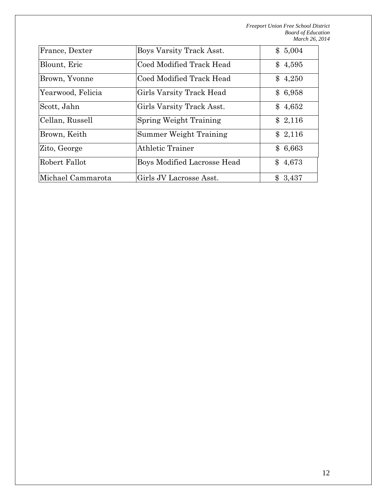| France, Dexter    | Boys Varsity Track Asst.           | \$5,004 |
|-------------------|------------------------------------|---------|
| Blount, Eric      | Coed Modified Track Head           | \$4,595 |
| Brown, Yvonne     | Coed Modified Track Head           | \$4,250 |
| Yearwood, Felicia | Girls Varsity Track Head           | \$6,958 |
| Scott, Jahn       | Girls Varsity Track Asst.          | \$4,652 |
| Cellan, Russell   | <b>Spring Weight Training</b>      | \$2,116 |
| Brown, Keith      | Summer Weight Training             | \$2,116 |
| Zito, George      | Athletic Trainer                   | \$6,663 |
| Robert Fallot     | <b>Boys Modified Lacrosse Head</b> | \$4,673 |
| Michael Cammarota | Girls JV Lacrosse Asst.            | \$3,437 |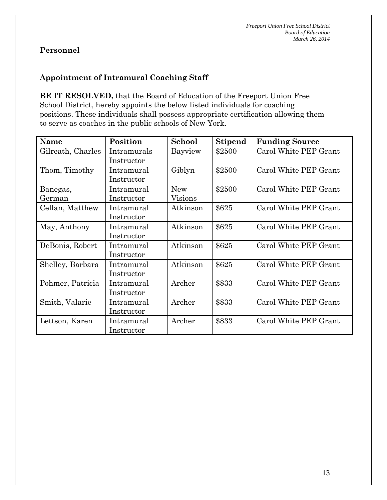# **Appointment of Intramural Coaching Staff**

**BE IT RESOLVED,** that the Board of Education of the Freeport Union Free School District, hereby appoints the below listed individuals for coaching positions. These individuals shall possess appropriate certification allowing them to serve as coaches in the public schools of New York.

| <b>Name</b>       | Position    | School     | <b>Stipend</b> | <b>Funding Source</b> |
|-------------------|-------------|------------|----------------|-----------------------|
| Gilreath, Charles | Intramurals | Bayview    | \$2500         | Carol White PEP Grant |
|                   | Instructor  |            |                |                       |
| Thom, Timothy     | Intramural  | Giblyn     | \$2500         | Carol White PEP Grant |
|                   | Instructor  |            |                |                       |
| Banegas,          | Intramural  | <b>New</b> | \$2500         | Carol White PEP Grant |
| German            | Instructor  | Visions    |                |                       |
| Cellan, Matthew   | Intramural  | Atkinson   | \$625          | Carol White PEP Grant |
|                   | Instructor  |            |                |                       |
| May, Anthony      | Intramural  | Atkinson   | \$625          | Carol White PEP Grant |
|                   | Instructor  |            |                |                       |
| DeBonis, Robert   | Intramural  | Atkinson   | \$625          | Carol White PEP Grant |
|                   | Instructor  |            |                |                       |
| Shelley, Barbara  | Intramural  | Atkinson   | \$625          | Carol White PEP Grant |
|                   | Instructor  |            |                |                       |
| Pohmer, Patricia  | Intramural  | Archer     | \$833          | Carol White PEP Grant |
|                   | Instructor  |            |                |                       |
| Smith, Valarie    | Intramural  | Archer     | \$833          | Carol White PEP Grant |
|                   | Instructor  |            |                |                       |
| Lettson, Karen    | Intramural  | Archer     | \$833          | Carol White PEP Grant |
|                   | Instructor  |            |                |                       |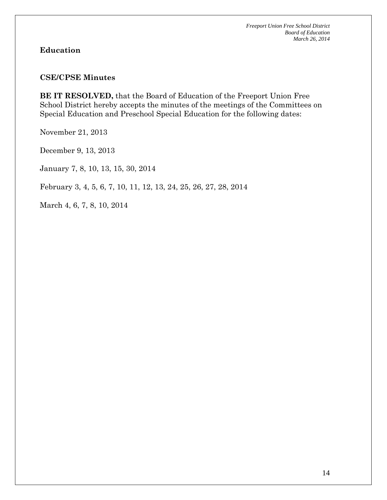#### **CSE/CPSE Minutes**

**BE IT RESOLVED,** that the Board of Education of the Freeport Union Free School District hereby accepts the minutes of the meetings of the Committees on Special Education and Preschool Special Education for the following dates:

November 21, 2013

December 9, 13, 2013

January 7, 8, 10, 13, 15, 30, 2014

February 3, 4, 5, 6, 7, 10, 11, 12, 13, 24, 25, 26, 27, 28, 2014

March 4, 6, 7, 8, 10, 2014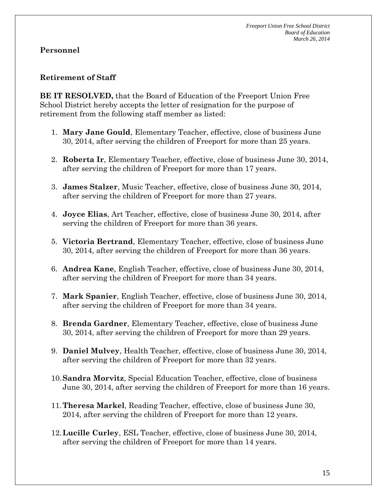#### **Retirement of Staff**

**BE IT RESOLVED,** that the Board of Education of the Freeport Union Free School District hereby accepts the letter of resignation for the purpose of retirement from the following staff member as listed:

- 1. **Mary Jane Gould**, Elementary Teacher, effective, close of business June 30, 2014, after serving the children of Freeport for more than 25 years.
- 2. **Roberta Ir**, Elementary Teacher, effective, close of business June 30, 2014, after serving the children of Freeport for more than 17 years.
- 3. **James Stalzer**, Music Teacher, effective, close of business June 30, 2014, after serving the children of Freeport for more than 27 years.
- 4. **Joyce Elias**, Art Teacher, effective, close of business June 30, 2014, after serving the children of Freeport for more than 36 years.
- 5. **Victoria Bertrand**, Elementary Teacher, effective, close of business June 30, 2014, after serving the children of Freeport for more than 36 years.
- 6. **Andrea Kane**, English Teacher, effective, close of business June 30, 2014, after serving the children of Freeport for more than 34 years.
- 7. **Mark Spanier**, English Teacher, effective, close of business June 30, 2014, after serving the children of Freeport for more than 34 years.
- 8. **Brenda Gardner**, Elementary Teacher, effective, close of business June 30, 2014, after serving the children of Freeport for more than 29 years.
- 9. **Daniel Mulvey**, Health Teacher, effective, close of business June 30, 2014, after serving the children of Freeport for more than 32 years.
- 10.**Sandra Morvitz**, Special Education Teacher, effective, close of business June 30, 2014, after serving the children of Freeport for more than 16 years.
- 11.**Theresa Markel**, Reading Teacher, effective, close of business June 30, 2014, after serving the children of Freeport for more than 12 years.
- 12.**Lucille Curley**, ESL Teacher, effective, close of business June 30, 2014, after serving the children of Freeport for more than 14 years.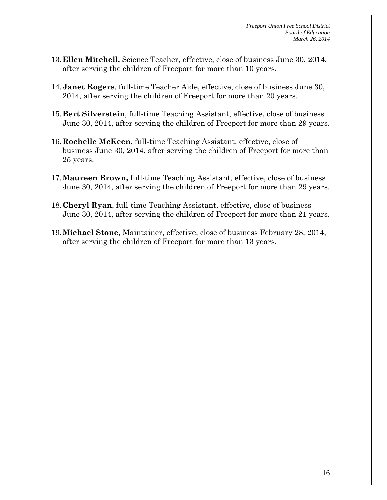- 13.**Ellen Mitchell,** Science Teacher, effective, close of business June 30, 2014, after serving the children of Freeport for more than 10 years.
- 14.**Janet Rogers**, full-time Teacher Aide, effective, close of business June 30, 2014, after serving the children of Freeport for more than 20 years.
- 15.**Bert Silverstein**, full-time Teaching Assistant, effective, close of business June 30, 2014, after serving the children of Freeport for more than 29 years.
- 16.**Rochelle McKeen**, full-time Teaching Assistant, effective, close of business June 30, 2014, after serving the children of Freeport for more than 25 years.
- 17.**Maureen Brown,** full-time Teaching Assistant, effective, close of business June 30, 2014, after serving the children of Freeport for more than 29 years.
- 18.**Cheryl Ryan**, full-time Teaching Assistant, effective, close of business June 30, 2014, after serving the children of Freeport for more than 21 years.
- 19.**Michael Stone**, Maintainer, effective, close of business February 28, 2014, after serving the children of Freeport for more than 13 years.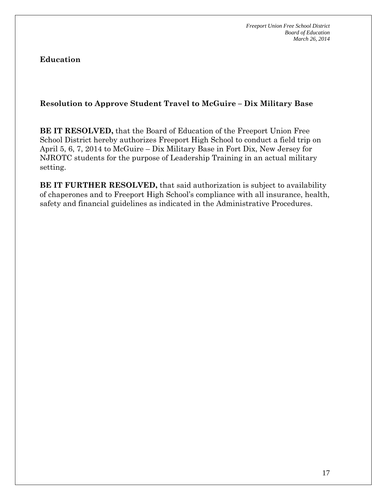# **Resolution to Approve Student Travel to McGuire – Dix Military Base**

**BE IT RESOLVED,** that the Board of Education of the Freeport Union Free School District hereby authorizes Freeport High School to conduct a field trip on April 5, 6, 7, 2014 to McGuire – Dix Military Base in Fort Dix, New Jersey for NJROTC students for the purpose of Leadership Training in an actual military setting.

**BE IT FURTHER RESOLVED,** that said authorization is subject to availability of chaperones and to Freeport High School's compliance with all insurance, health, safety and financial guidelines as indicated in the Administrative Procedures.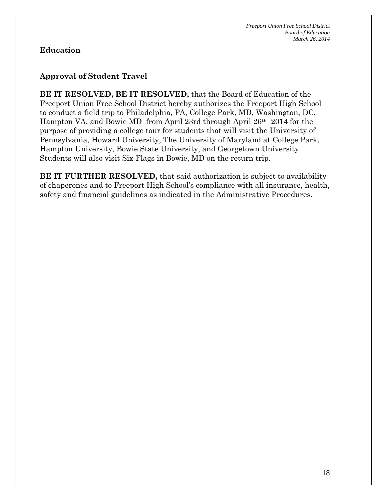# **Approval of Student Travel**

**BE IT RESOLVED, BE IT RESOLVED,** that the Board of Education of the Freeport Union Free School District hereby authorizes the Freeport High School to conduct a field trip to Philadelphia, PA, College Park, MD, Washington, DC, Hampton VA, and Bowie MD from April 23rd through April 26th 2014 for the purpose of providing a college tour for students that will visit the University of Pennsylvania, Howard University, The University of Maryland at College Park, Hampton University, Bowie State University, and Georgetown University. Students will also visit Six Flags in Bowie, MD on the return trip.

**BE IT FURTHER RESOLVED,** that said authorization is subject to availability of chaperones and to Freeport High School's compliance with all insurance, health, safety and financial guidelines as indicated in the Administrative Procedures.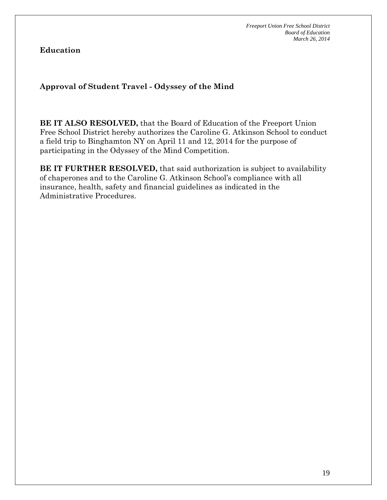**Approval of Student Travel - Odyssey of the Mind**

**BE IT ALSO RESOLVED,** that the Board of Education of the Freeport Union Free School District hereby authorizes the Caroline G. Atkinson School to conduct a field trip to Binghamton NY on April 11 and 12, 2014 for the purpose of participating in the Odyssey of the Mind Competition.

**BE IT FURTHER RESOLVED,** that said authorization is subject to availability of chaperones and to the Caroline G. Atkinson School's compliance with all insurance, health, safety and financial guidelines as indicated in the Administrative Procedures.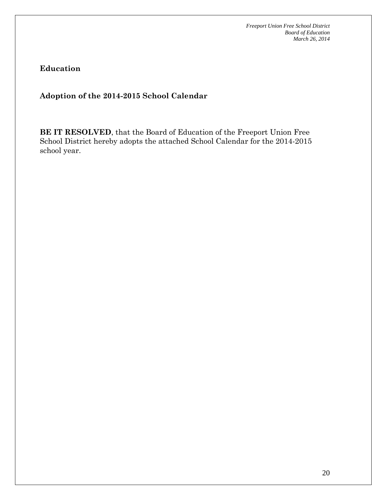**Education**

**Adoption of the 2014-2015 School Calendar**

**BE IT RESOLVED**, that the Board of Education of the Freeport Union Free School District hereby adopts the attached School Calendar for the 2014-2015 school year.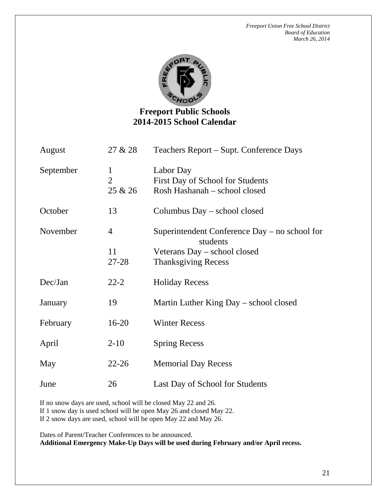

# **Freeport Public Schools 2014-2015 School Calendar**

| August    | 27 & 28                        | Teachers Report – Supt. Conference Days                                                                                   |
|-----------|--------------------------------|---------------------------------------------------------------------------------------------------------------------------|
| September | 1<br>$\overline{2}$<br>25 & 26 | Labor Day<br>First Day of School for Students<br>Rosh Hashanah - school closed                                            |
| October   | 13                             | Columbus Day - school closed                                                                                              |
| November  | $\overline{4}$<br>11<br>27-28  | Superintendent Conference Day $-$ no school for<br>students<br>Veterans Day - school closed<br><b>Thanksgiving Recess</b> |
| Dec/Jan   | $22 - 2$                       | <b>Holiday Recess</b>                                                                                                     |
| January   | 19                             | Martin Luther King Day – school closed                                                                                    |
| February  | $16 - 20$                      | <b>Winter Recess</b>                                                                                                      |
| April     | $2 - 10$                       | <b>Spring Recess</b>                                                                                                      |
| May       | $22 - 26$                      | <b>Memorial Day Recess</b>                                                                                                |
| June      | 26                             | Last Day of School for Students                                                                                           |

If no snow days are used, school will be closed May 22 and 26. If 1 snow day is used school will be open May 26 and closed May 22. If 2 snow days are used, school will be open May 22 and May 26.

Dates of Parent/Teacher Conferences to be announced. **Additional Emergency Make-Up Days will be used during February and/or April recess.**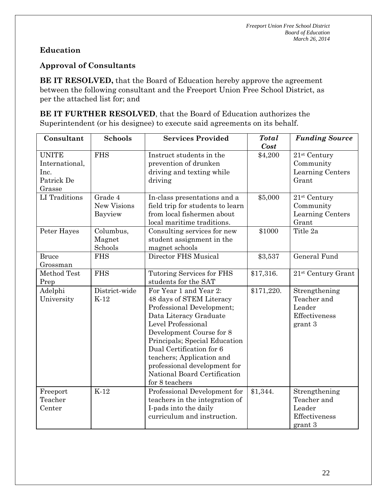## **Approval of Consultants**

**BE IT RESOLVED,** that the Board of Education hereby approve the agreement between the following consultant and the Freeport Union Free School District, as per the attached list for; and

**BE IT FURTHER RESOLVED**, that the Board of Education authorizes the Superintendent (or his designee) to execute said agreements on its behalf.

| Consultant                                                     | <b>Schools</b>                    | <b>Services Provided</b>                                                                                                                                                                                                                                                                                                                | <b>Total</b><br><b>Cost</b> | <b>Funding Source</b>                                              |
|----------------------------------------------------------------|-----------------------------------|-----------------------------------------------------------------------------------------------------------------------------------------------------------------------------------------------------------------------------------------------------------------------------------------------------------------------------------------|-----------------------------|--------------------------------------------------------------------|
| <b>UNITE</b><br>International,<br>Inc.<br>Patrick De<br>Grasse | <b>FHS</b>                        | Instruct students in the<br>prevention of drunken<br>driving and texting while<br>driving                                                                                                                                                                                                                                               | \$4,200                     | 21 <sup>st</sup> Century<br>Community<br>Learning Centers<br>Grant |
| LI Traditions                                                  | Grade 4<br>New Visions<br>Bayview | In-class presentations and a<br>field trip for students to learn<br>from local fishermen about<br>local maritime traditions.                                                                                                                                                                                                            | \$5,000                     | 21 <sup>st</sup> Century<br>Community<br>Learning Centers<br>Grant |
| Peter Hayes                                                    | Columbus,<br>Magnet<br>Schools    | Consulting services for new<br>student assignment in the<br>magnet schools                                                                                                                                                                                                                                                              | \$1000                      | Title 2a                                                           |
| <b>Bruce</b><br>Grossman                                       | <b>FHS</b>                        | Director FHS Musical                                                                                                                                                                                                                                                                                                                    | \$3,537                     | General Fund                                                       |
| Method Test<br>Prep                                            | <b>FHS</b>                        | Tutoring Services for FHS<br>students for the SAT                                                                                                                                                                                                                                                                                       | \$17,316.                   | 21 <sup>st</sup> Century Grant                                     |
| Adelphi<br>University                                          | District-wide<br>$K-12$           | For Year 1 and Year 2:<br>48 days of STEM Literacy<br>Professional Development;<br>Data Literacy Graduate<br>Level Professional<br>Development Course for 8<br>Principals; Special Education<br>Dual Certification for 6<br>teachers; Application and<br>professional development for<br>National Board Certification<br>for 8 teachers | \$171,220.                  | Strengthening<br>Teacher and<br>Leader<br>Effectiveness<br>grant 3 |
| Freeport<br>Teacher<br>Center                                  | $K-12$                            | Professional Development for<br>teachers in the integration of<br>I-pads into the daily<br>curriculum and instruction.                                                                                                                                                                                                                  | \$1,344.                    | Strengthening<br>Teacher and<br>Leader<br>Effectiveness<br>grant 3 |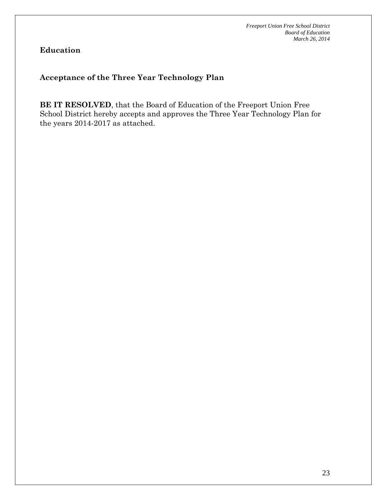# **Acceptance of the Three Year Technology Plan**

**BE IT RESOLVED**, that the Board of Education of the Freeport Union Free School District hereby accepts and approves the Three Year Technology Plan for the years 2014-2017 as attached.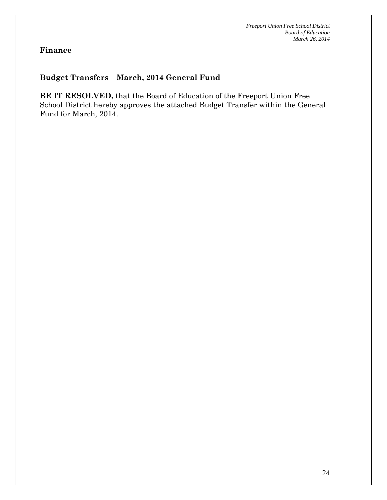**Finance**

#### **Budget Transfers – March, 2014 General Fund**

**BE IT RESOLVED,** that the Board of Education of the Freeport Union Free School District hereby approves the attached Budget Transfer within the General Fund for March, 2014.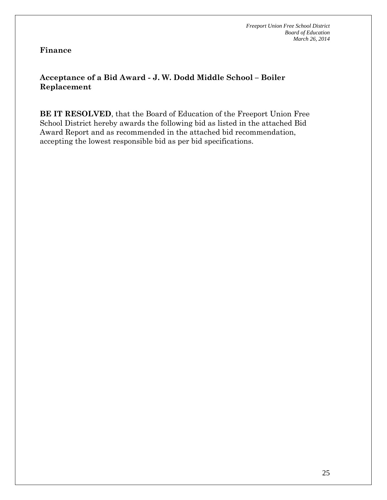#### **Finance**

# **Acceptance of a Bid Award - J. W. Dodd Middle School – Boiler Replacement**

**BE IT RESOLVED**, that the Board of Education of the Freeport Union Free School District hereby awards the following bid as listed in the attached Bid Award Report and as recommended in the attached bid recommendation, accepting the lowest responsible bid as per bid specifications.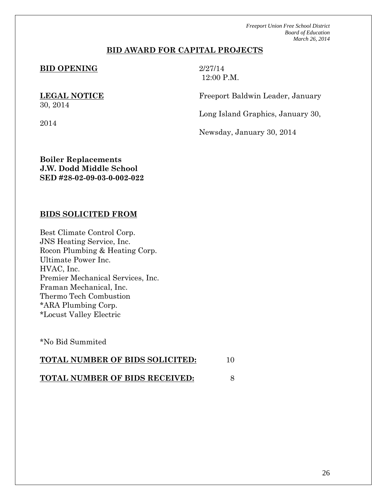#### **BID AWARD FOR CAPITAL PROJECTS**

#### **BID OPENING** 2/27/14

# 30, 2014

2014

12:00 P.M.

**LEGAL NOTICE** Freeport Baldwin Leader, January

Long Island Graphics, January 30,

Newsday, January 30, 2014

**Boiler Replacements J.W. Dodd Middle School SED #28-02-09-03-0-002-022**

#### **BIDS SOLICITED FROM**

Best Climate Control Corp. JNS Heating Service, Inc. Rocon Plumbing & Heating Corp. Ultimate Power Inc. HVAC, Inc. Premier Mechanical Services, Inc. Framan Mechanical, Inc. Thermo Tech Combustion \*ARA Plumbing Corp. \*Locust Valley Electric

\*No Bid Summited

# **TOTAL NUMBER OF BIDS SOLICITED:** 10

#### **TOTAL NUMBER OF BIDS RECEIVED:** 8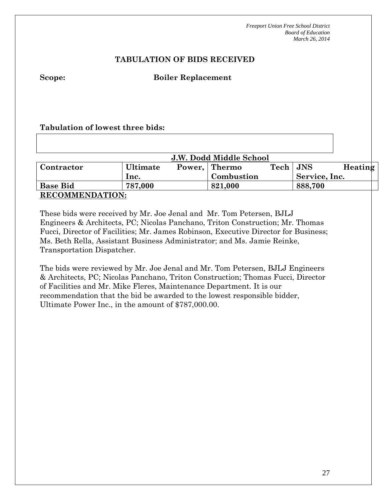# **TABULATION OF BIDS RECEIVED**

#### **Scope: Boiler Replacement**

#### **Tabulation of lowest three bids:**

| J.W. Dodd Middle School |          |  |               |            |               |         |
|-------------------------|----------|--|---------------|------------|---------------|---------|
| Contractor              | Ultimate |  | Power, Thermo | Tech   JNS |               | Heating |
|                         | Inc.     |  | Combustion    |            | Service, Inc. |         |
| <b>Base Bid</b>         | 787,000  |  | 821,000       |            | 888,700       |         |
| <b>RECOMMENDATION:</b>  |          |  |               |            |               |         |

These bids were received by Mr. Joe Jenal and Mr. Tom Petersen, BJLJ Engineers & Architects, PC; Nicolas Panchano, Triton Construction; Mr. Thomas Fucci, Director of Facilities; Mr. James Robinson, Executive Director for Business; Ms. Beth Rella, Assistant Business Administrator; and Ms. Jamie Reinke, Transportation Dispatcher.

The bids were reviewed by Mr. Joe Jenal and Mr. Tom Petersen, BJLJ Engineers & Architects, PC; Nicolas Panchano, Triton Construction; Thomas Fucci, Director of Facilities and Mr. Mike Fleres, Maintenance Department. It is our recommendation that the bid be awarded to the lowest responsible bidder, Ultimate Power Inc., in the amount of \$787,000.00.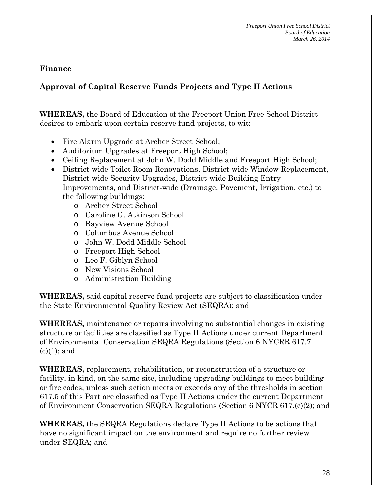#### **Finance**

# **Approval of Capital Reserve Funds Projects and Type II Actions**

**WHEREAS,** the Board of Education of the Freeport Union Free School District desires to embark upon certain reserve fund projects, to wit:

- Fire Alarm Upgrade at Archer Street School;
- Auditorium Upgrades at Freeport High School;
- Ceiling Replacement at John W. Dodd Middle and Freeport High School;
- District-wide Toilet Room Renovations, District-wide Window Replacement, District-wide Security Upgrades, District-wide Building Entry Improvements, and District-wide (Drainage, Pavement, Irrigation, etc.) to the following buildings:
	- o Archer Street School
	- o Caroline G. Atkinson School
	- o Bayview Avenue School
	- o Columbus Avenue School
	- o John W. Dodd Middle School
	- o Freeport High School
	- o Leo F. Giblyn School
	- o New Visions School
	- o Administration Building

**WHEREAS,** said capital reserve fund projects are subject to classification under the State Environmental Quality Review Act (SEQRA); and

**WHEREAS,** maintenance or repairs involving no substantial changes in existing structure or facilities are classified as Type II Actions under current Department of Environmental Conservation SEQRA Regulations (Section 6 NYCRR 617.7  $(c)(1)$ ; and

**WHEREAS,** replacement, rehabilitation, or reconstruction of a structure or facility, in kind, on the same site, including upgrading buildings to meet building or fire codes, unless such action meets or exceeds any of the thresholds in section 617.5 of this Part are classified as Type II Actions under the current Department of Environment Conservation SEQRA Regulations (Section 6 NYCR 617.(c)(2); and

**WHEREAS,** the SEQRA Regulations declare Type II Actions to be actions that have no significant impact on the environment and require no further review under SEQRA; and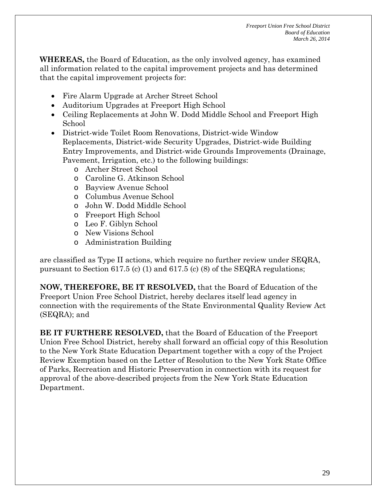**WHEREAS,** the Board of Education, as the only involved agency, has examined all information related to the capital improvement projects and has determined that the capital improvement projects for:

- Fire Alarm Upgrade at Archer Street School
- Auditorium Upgrades at Freeport High School
- Ceiling Replacements at John W. Dodd Middle School and Freeport High School
- District-wide Toilet Room Renovations, District-wide Window Replacements, District-wide Security Upgrades, District-wide Building Entry Improvements, and District-wide Grounds Improvements (Drainage, Pavement, Irrigation, etc.) to the following buildings:
	- o Archer Street School
	- o Caroline G. Atkinson School
	- o Bayview Avenue School
	- o Columbus Avenue School
	- o John W. Dodd Middle School
	- o Freeport High School
	- o Leo F. Giblyn School
	- o New Visions School
	- o Administration Building

are classified as Type II actions, which require no further review under SEQRA, pursuant to Section 617.5 (c) (1) and 617.5 (c) (8) of the SEQRA regulations;

**NOW, THEREFORE, BE IT RESOLVED,** that the Board of Education of the Freeport Union Free School District, hereby declares itself lead agency in connection with the requirements of the State Environmental Quality Review Act (SEQRA); and

**BE IT FURTHERE RESOLVED,** that the Board of Education of the Freeport Union Free School District, hereby shall forward an official copy of this Resolution to the New York State Education Department together with a copy of the Project Review Exemption based on the Letter of Resolution to the New York State Office of Parks, Recreation and Historic Preservation in connection with its request for approval of the above-described projects from the New York State Education Department.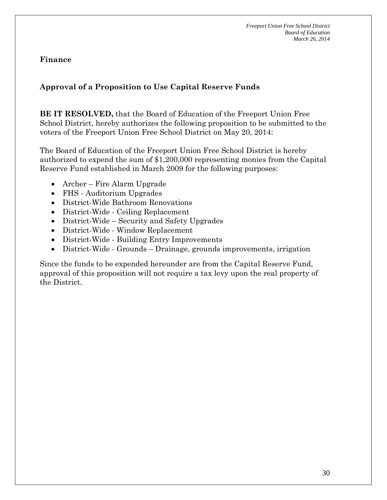# **Finance**

# **Approval of a Proposition to Use Capital Reserve Funds**

**BE IT RESOLVED,** that the Board of Education of the Freeport Union Free School District, hereby authorizes the following proposition to be submitted to the voters of the Freeport Union Free School District on May 20, 2014:

The Board of Education of the Freeport Union Free School District is hereby authorized to expend the sum of \$1,200,000 representing monies from the Capital Reserve Fund established in March 2009 for the following purposes:

- Archer Fire Alarm Upgrade
- FHS Auditorium Upgrades
- District-Wide Bathroom Renovations
- District-Wide Ceiling Replacement
- District-Wide Security and Safety Upgrades
- District-Wide Window Replacement
- District-Wide Building Entry Improvements
- District-Wide Grounds Drainage, grounds improvements, irrigation

Since the funds to be expended hereunder are from the Capital Reserve Fund, approval of this proposition will not require a tax levy upon the real property of the District.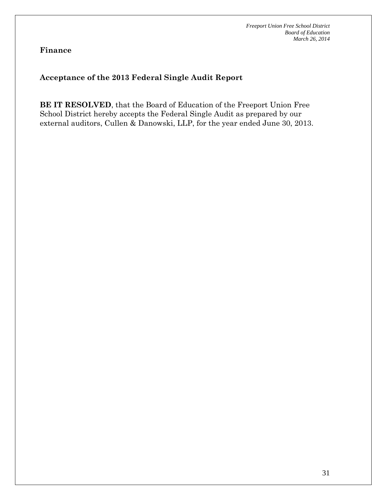**Finance**

# **Acceptance of the 2013 Federal Single Audit Report**

**BE IT RESOLVED**, that the Board of Education of the Freeport Union Free School District hereby accepts the Federal Single Audit as prepared by our external auditors, Cullen & Danowski, LLP, for the year ended June 30, 2013.